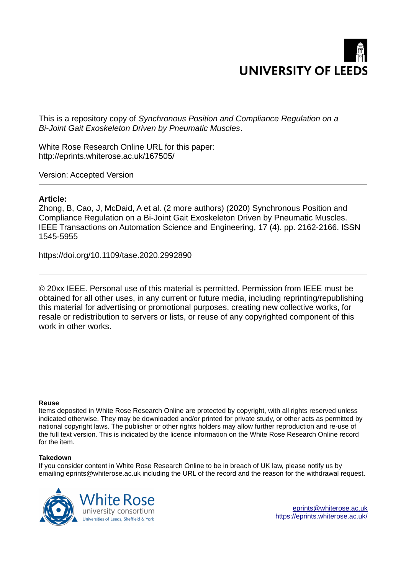

This is a repository copy of *Synchronous Position and Compliance Regulation on a Bi-Joint Gait Exoskeleton Driven by Pneumatic Muscles*.

White Rose Research Online URL for this paper: http://eprints.whiterose.ac.uk/167505/

Version: Accepted Version

# **Article:**

Zhong, B, Cao, J, McDaid, A et al. (2 more authors) (2020) Synchronous Position and Compliance Regulation on a Bi-Joint Gait Exoskeleton Driven by Pneumatic Muscles. IEEE Transactions on Automation Science and Engineering, 17 (4). pp. 2162-2166. ISSN 1545-5955

https://doi.org/10.1109/tase.2020.2992890

© 20xx IEEE. Personal use of this material is permitted. Permission from IEEE must be obtained for all other uses, in any current or future media, including reprinting/republishing this material for advertising or promotional purposes, creating new collective works, for resale or redistribution to servers or lists, or reuse of any copyrighted component of this work in other works.

# **Reuse**

Items deposited in White Rose Research Online are protected by copyright, with all rights reserved unless indicated otherwise. They may be downloaded and/or printed for private study, or other acts as permitted by national copyright laws. The publisher or other rights holders may allow further reproduction and re-use of the full text version. This is indicated by the licence information on the White Rose Research Online record for the item.

# **Takedown**

If you consider content in White Rose Research Online to be in breach of UK law, please notify us by emailing eprints@whiterose.ac.uk including the URL of the record and the reason for the withdrawal request.

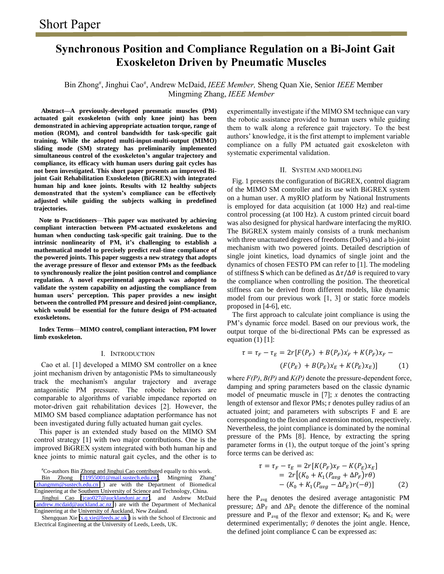# **Synchronous Position and Compliance Regulation on a Bi-Joint Gait Exoskeleton Driven by Pneumatic Muscles**

## Bin Zhong# , Jinghui Cao# , Andrew McDaid, *IEEE Member,* Sheng Quan Xie, Senior *IEEE* Member Mingming Zhang, *IEEE Member*

**Abstract—A previously-developed pneumatic muscles (PM) actuated gait exoskeleton (with only knee joint) has been demonstrated in achieving appropriate actuation torque, range of motion (ROM), and control bandwidth for task-specific gait training. While the adopted multi-input-multi-output (MIMO) sliding mode (SM) strategy has preliminarily implemented simultaneous control of the exoskeleton's angular trajectory and compliance, its efficacy with human users during gait cycles has not been investigated. This short paper presents an improved Bijoint Gait Rehabilitation Exoskeleton (BiGREX) with integrated human hip and knee joints. Results with 12 healthy subjects demonstrated that the system's compliance can be effectively adjusted while guiding the subjects walking in predefined trajectories.** 

**Note to Practitioners**—**This paper was motivated by achieving compliant interaction between PM-actuated exoskeletons and human when conducting task-specific gait training. Due to the intrinsic nonlinearity of PM, it's challenging to establish a mathematical model to precisely predict real-time compliance of the powered joints. This paper suggests a new strategy that adopts the average pressure of flexor and extensor PMs as the feedback to synchronously realize the joint position control and compliance regulation. A novel experimental approach was adopted to validate the system capability on adjusting the compliance from human users' perception. This paper provides a new insight between the controlled PM pressure and desired joint-compliance, which would be essential for the future design of PM-actuated exoskeletons.** 

**Index Terms**—**MIMO control, compliant interaction, PM lower limb exoskeleton.** 

#### I. INTRODUCTION

 Cao et al. [1] developed a MIMO SM controller on a knee joint mechanism driven by antagonistic PMs to simultaneously track the mechanism's angular trajectory and average antagonistic PM pressure. The robotic behaviors are comparable to algorithms of variable impedance reported on motor-driven gait rehabilitation devices [2]. However, the MIMO SM based compliance adaptation performance has not been investigated during fully actuated human gait cycles.

This paper is an extended study based on the MIMO SM control strategy [1] with two major contributions. One is the improved BiGREX system integrated with both human hip and knee joints to mimic natural gait cycles, and the other is to

#Co-authors Bin Zhong and Jinghui Cao contributed equally to this work.

Bin Zhong [\(11955001@mail.sustech.edu.cn\)](mailto:11955001@mail.sustech.edu.cn), Mingming Zhang<sup>\*</sup> [\(zhangmm@sustech.edu.cn](mailto:zhangmm@sustech.edu.cn) ) are with the Department of Biomedical Engineering at the Southern University of Science and Technology, China.

Jinghui Cao [\(jcao027@aucklanduni.ac.nz\)](mailto:jcao027@aucklanduni.ac.nz), and Andrew McDaid (andrew.mcdaid@auckland.ac.nz) are with the Department of Mechanical Engineering at the University of Auckland, New Zealand.

Shengquan Xie [\(s.q.xie@leeds.ac.uk \)](mailto:s.q.xie@leeds.ac.uk) is with the School of Electronic and Electrical Engineering at the University of Leeds, Leeds, UK.

experimentally investigate if the MIMO SM technique can vary the robotic assistance provided to human users while guiding them to walk along a reference gait trajectory. To the best authors' knowledge, it is the first attempt to implement variable compliance on a fully PM actuated gait exoskeleton with systematic experimental validation.

#### II. SYSTEM AND MODELING

Fig. 1 presents the configuration of BiGREX, control diagram of the MIMO SM controller and its use with BiGREX system on a human user. A myRIO platform by National Instruments is employed for data acquisition (at 1000 Hz) and real-time control processing (at 100 Hz). A custom printed circuit board was also designed for physical hardware interfacing the myRIO. The BiGREX system mainly consists of a trunk mechanism with three unactuated degrees of freedoms (DoFs) and a bi-joint mechanism with two powered joints. Detailed description of single joint kinetics, load dynamics of single joint and the dynamics of chosen FESTO PM can refer to [1]. The modeling of stiffness **S** which can be defined as  $\Delta \tau / \Delta \theta$  is required to vary the compliance when controlling the position. The theoretical stiffness can be derived from different models, like dynamic model from our previous work [1, 3] or static force models proposed in [4-6], etc.

The first approach to calculate joint compliance is using the PM's dynamic force model. Based on our previous work, the output torque of the bi-directional PMs can be expressed as equation  $(1)$  [1]:

$$
\tau = \tau_F - \tau_E = 2r[F(P_F) + B(P_F)x_F + K(P_F)x_F -
$$
  
( $F(P_E) + B(P_E)x_E + K(P_E)x_E$ )] (1)

where *F(P)*, *B(P)* and *K(P)* denote the pressure-dependent force, damping and spring parameters based on the classic dynamic model of pneumatic muscle in [7]; *x* denotes the contracting length of extensor and flexor PMs; r denotes pulley radius of an actuated joint; and parameters with subscripts F and E are corresponding to the flexion and extension motion, respectively. Nevertheless, the joint compliance is dominated by the nominal pressure of the PMs [8]. Hence, by extracting the spring parameter forms in (1), the output torque of the joint's spring force terms can be derived as:

$$
\tau = \tau_F - \tau_E = 2r[K(P_F)x_F - K(P_E)x_E]
$$
  
=  $2r[(K_0 + K_1(P_{avg} + \Delta P_F)r\theta) - (K_0 + K_1(P_{avg} - \Delta P_E)r(-\theta)]$  (2)

here the  $P_{avg}$  denotes the desired average antagonistic PM pressure;  $\Delta P_F$  and  $\Delta P_E$  denote the difference of the nominal pressure and  $P_{avg}$  of the flexor and extensor;  $K_0$  and  $K_1$  were determined experimentally;  $\theta$  denotes the joint angle. Hence, the defined joint compliance  $\mathbb C$  can be expressed as: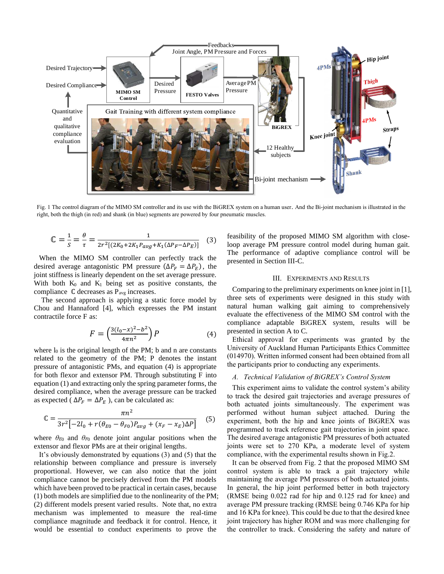

Fig. 1 The control diagram of the MIMO SM controller and its use with the BiGREX system on a human user. And the Bi-joint mechanism is illustrated in the right, both the thigh (in red) and shank (in blue) segments are powered by four pneumatic muscles.

$$
\mathbb{C} = \frac{1}{s} = \frac{\theta}{\tau} = \frac{1}{2r^2[(2K_0 + 2K_1 P_{avg} + K_1(\Delta P_F - \Delta P_E)]}
$$
(3)

When the MIMO SM controller can perfectly track the desired average antagonistic PM pressure  $(\Delta P_F = \Delta P_E)$ , the joint stiffness is linearly dependent on the set average pressure. With both  $K_0$  and  $K_1$  being set as positive constants, the compliance  $\mathbb C$  decreases as P<sub>avg</sub> increases.

The second approach is applying a static force model by Chou and Hannaford [4], which expresses the PM instant contractile force F as:

$$
F = \left(\frac{3(l_0 - x)^2 - b^2}{4\pi n^2}\right)P\tag{4}
$$

where  $l_0$  is the original length of the PM; b and n are constants related to the geometry of the PM; P denotes the instant pressure of antagonistic PMs, and equation (4) is appropriate for both flexor and extensor PM. Through substituting F into equation (1) and extracting only the spring parameter forms, the desired compliance, when the average pressure can be tracked as expected ( $\Delta P_F = \Delta P_E$ ), can be calculated as:

$$
\mathbb{C} = \frac{\pi n^2}{3r^2 \left[ -2l_0 + r(\theta_{E0} - \theta_{F0})P_{avg} + (x_F - x_E)\Delta P \right]} \tag{5}
$$

where  $\theta_{E0}$  and  $\theta_{F0}$  denote joint angular positions when the extensor and flexor PMs are at their original lengths.

It's obviously demonstrated by equations (3) and (5) that the relationship between compliance and pressure is inversely proportional. However, we can also notice that the joint compliance cannot be precisely derived from the PM models which have been proved to be practical in certain cases, because (1) both models are simplified due to the nonlinearity of the PM; (2) different models present varied results. Note that, no extra mechanism was implemented to measure the real-time compliance magnitude and feedback it for control. Hence, it would be essential to conduct experiments to prove the

feasibility of the proposed MIMO SM algorithm with closeloop average PM pressure control model during human gait. The performance of adaptive compliance control will be presented in Section III-C.

## III. EXPERIMENTS AND RESULTS

Comparing to the preliminary experiments on knee joint in [1], three sets of experiments were designed in this study with natural human walking gait aiming to comprehensively evaluate the effectiveness of the MIMO SM control with the compliance adaptable BiGREX system, results will be presented in section A to C.

Ethical approval for experiments was granted by the University of Auckland Human Participants Ethics Committee (014970). Written informed consent had been obtained from all the participants prior to conducting any experiments.

## *A. Technical Validation of BiGREX's Control System*

This experiment aims to validate the control system's ability to track the desired gait trajectories and average pressures of both actuated joints simultaneously. The experiment was performed without human subject attached. During the experiment, both the hip and knee joints of BiGREX was programmed to track reference gait trajectories in joint space. The desired average antagonistic PM pressures of both actuated joints were set to 270 KPa, a moderate level of system compliance, with the experimental results shown in Fig.2.

It can be observed from Fig. 2 that the proposed MIMO SM control system is able to track a gait trajectory while maintaining the average PM pressures of both actuated joints. In general, the hip joint performed better in both trajectory (RMSE being 0.022 rad for hip and 0.125 rad for knee) and average PM pressure tracking (RMSE being 0.746 KPa for hip and 16 KPa for knee). This could be due to that the desired knee joint trajectory has higher ROM and was more challenging for the controller to track. Considering the safety and nature of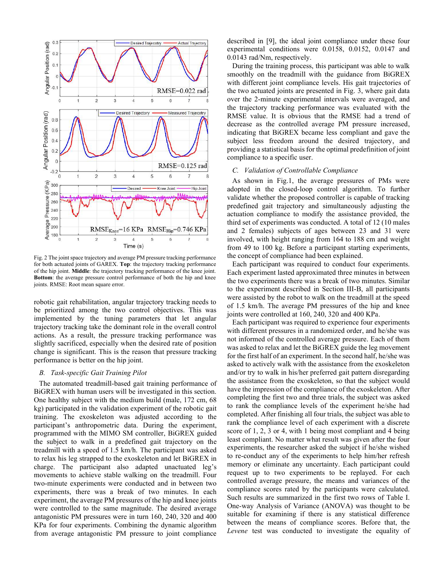

Fig. 2 The joint space trajectory and average PM pressure tracking performance for both actuated joints of GAREX. **Top**: the trajectory tracking performance of the hip joint. **Middle**: the trajectory tracking performance of the knee joint. **Bottom**: the average pressure control performance of both the hip and knee joints. RMSE: Root mean square error.

robotic gait rehabilitation, angular trajectory tracking needs to be prioritized among the two control objectives. This was implemented by the tuning parameters that let angular trajectory tracking take the dominant role in the overall control actions. As a result, the pressure tracking performance was slightly sacrificed, especially when the desired rate of position change is significant. This is the reason that pressure tracking performance is better on the hip joint.

#### *B. Task-specific Gait Training Pilot*

The automated treadmill-based gait training performance of BiGREX with human users will be investigated in this section. One healthy subject with the medium build (male, 172 cm, 68 kg) participated in the validation experiment of the robotic gait training. The exoskeleton was adjusted according to the participant's anthropometric data. During the experiment, programmed with the MIMO SM controller, BiGREX guided the subject to walk in a predefined gait trajectory on the treadmill with a speed of 1.5 km/h. The participant was asked to relax his leg strapped to the exoskeleton and let BiGREX in charge. The participant also adapted unactuated leg's movements to achieve stable walking on the treadmill. Four two-minute experiments were conducted and in between two experiments, there was a break of two minutes. In each experiment, the average PM pressures of the hip and knee joints were controlled to the same magnitude. The desired average antagonistic PM pressures were in turn 160, 240, 320 and 400 KPa for four experiments. Combining the dynamic algorithm from average antagonistic PM pressure to joint compliance

described in [9], the ideal joint compliance under these four experimental conditions were 0.0158, 0.0152, 0.0147 and 0.0143 rad/Nm, respectively.

During the training process, this participant was able to walk smoothly on the treadmill with the guidance from BiGREX with different joint compliance levels. His gait trajectories of the two actuated joints are presented in Fig. 3, where gait data over the 2-minute experimental intervals were averaged, and the trajectory tracking performance was evaluated with the RMSE value. It is obvious that the RMSE had a trend of decrease as the controlled average PM pressure increased, indicating that BiGREX became less compliant and gave the subject less freedom around the desired trajectory, and providing a statistical basis for the optimal predefinition of joint compliance to a specific user.

## *C. Validation of Controllable Compliance*

As shown in Fig.1, the average pressures of PMs were adopted in the closed-loop control algorithm. To further validate whether the proposed controller is capable of tracking predefined gait trajectory and simultaneously adjusting the actuation compliance to modify the assistance provided, the third set of experiments was conducted. A total of 12 (10 males and 2 females) subjects of ages between 23 and 31 were involved, with height ranging from 164 to 188 cm and weight from 49 to 100 kg. Before a participant starting experiments, the concept of compliance had been explained.

Each participant was required to conduct four experiments. Each experiment lasted approximated three minutes in between the two experiments there was a break of two minutes. Similar to the experiment described in Section III-B, all participants were assisted by the robot to walk on the treadmill at the speed of 1.5 km/h. The average PM pressures of the hip and knee joints were controlled at 160, 240, 320 and 400 KPa.

Each participant was required to experience four experiments with different pressures in a randomized order, and he/she was not informed of the controlled average pressure. Each of them was asked to relax and let the BiGREX guide the leg movement for the first half of an experiment. In the second half, he/she was asked to actively walk with the assistance from the exoskeleton and/or try to walk in his/her preferred gait pattern disregarding the assistance from the exoskeleton, so that the subject would have the impression of the compliance of the exoskeleton. After completing the first two and three trials, the subject was asked to rank the compliance levels of the experiment he/she had completed. After finishing all four trials, the subject was able to rank the compliance level of each experiment with a discrete score of 1, 2, 3 or 4, with 1 being most compliant and 4 being least compliant. No matter what result was given after the four experiments, the researcher asked the subject if he/she wished to re-conduct any of the experiments to help him/her refresh memory or eliminate any uncertainty. Each participant could request up to two experiments to be replayed. For each controlled average pressure, the means and variances of the compliance scores rated by the participants were calculated. Such results are summarized in the first two rows of Table I. One-way Analysis of Variance (ANOVA) was thought to be suitable for examining if there is any statistical difference between the means of compliance scores. Before that, the *Levene* test was conducted to investigate the equality of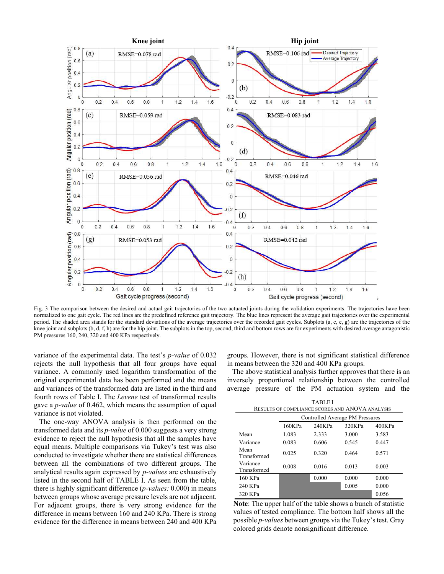

Fig. 3 The comparison between the desired and actual gait trajectories of the two actuated joints during the validation experiments. The trajectories have been normalized to one gait cycle. The red lines are the predefined reference gait trajectory. The blue lines represent the average gait trajectories over the experimental period. The shaded area stands for the standard deviations of the average trajectories over the recorded gait cycles. Subplots (a, c, e, g) are the trajectories of the knee joint and subplots (b, d, f, h) are for the hip joint. The subplots in the top, second, third and bottom rows are for experiments with desired average antagonistic PM pressures 160, 240, 320 and 400 KPa respectively.

variance of the experimental data. The test's *p-value* of 0.032 rejects the null hypothesis that all four groups have equal variance. A commonly used logarithm transformation of the original experimental data has been performed and the means and variances of the transformed data are listed in the third and fourth rows of Table I. The *Levene* test of transformed results gave a *p-value* of 0.462, which means the assumption of equal variance is not violated.

The one-way ANOVA analysis is then performed on the transformed data and its *p-value* of 0.000 suggests a very strong evidence to reject the null hypothesis that all the samples have equal means. Multiple comparisons via Tukey's test was also conducted to investigate whether there are statistical differences between all the combinations of two different groups. The analytical results again expressed by *p-values* are exhaustively listed in the second half of TABLE I. As seen from the table, there is highly significant difference (*p-values:* 0.000) in means between groups whose average pressure levels are not adjacent. For adjacent groups, there is very strong evidence for the difference in means between 160 and 240 KPa. There is strong evidence for the difference in means between 240 and 400 KPa

groups. However, there is not significant statistical difference in means between the 320 and 400 KPa groups.

The above statistical analysis further approves that there is an inversely proportional relationship between the controlled average pressure of the PM actuation system and the

| <b>TABLEI</b><br>RESULTS OF COMPLIANCE SCORES AND ANOVA ANALYSIS |                                 |        |        |        |
|------------------------------------------------------------------|---------------------------------|--------|--------|--------|
|                                                                  | Controlled Average PM Pressures |        |        |        |
|                                                                  | 160KPa                          | 240KPa | 320KPa | 400KPa |
| Mean                                                             | 1.083                           | 2.333  | 3.000  | 3.583  |
| Variance                                                         | 0.083                           | 0.606  | 0.545  | 0.447  |
| Mean<br>Transformed                                              | 0.025                           | 0.320  | 0.464  | 0.571  |
| Variance<br>Transformed                                          | 0.008                           | 0.016  | 0.013  | 0.003  |
| 160 KPa                                                          |                                 | 0.000  | 0.000  | 0.000  |
| 240 KPa                                                          |                                 |        | 0.005  | 0.000  |
| 320 KPa                                                          |                                 |        |        | 0.056  |

**Note**: The upper half of the table shows a bunch of statistic values of tested compliance. The bottom half shows all the possible *p-values* between groups via the Tukey's test. Gray colored grids denote nonsignificant difference.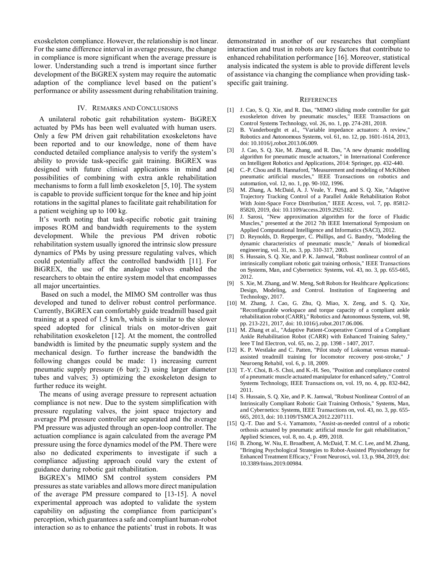exoskeleton compliance. However, the relationship is not linear. For the same difference interval in average pressure, the change in compliance is more significant when the average pressure is lower. Understanding such a trend is important since further development of the BiGREX system may require the automatic adaption of the compliance level based on the patient's performance or ability assessment during rehabilitation training.

## IV. REMARKS AND CONCLUSIONS

A unilateral robotic gait rehabilitation system- BiGREX actuated by PMs has been well evaluated with human users. Only a few PM driven gait rehabilitation exoskeletons have been reported and to our knowledge, none of them have conducted detailed compliance analysis to verify the system's ability to provide task-specific gait training. BiGREX was designed with future clinical applications in mind and possibilities of combining with extra ankle rehabilitation mechanisms to form a full limb exoskeleton [5, 10]. The system is capable to provide sufficient torque for the knee and hip joint rotations in the sagittal planes to facilitate gait rehabilitation for a patient weighing up to 100 kg.

It's worth noting that task-specific robotic gait training imposes ROM and bandwidth requirements to the system development. While the previous PM driven robotic rehabilitation system usually ignored the intrinsic slow pressure dynamics of PMs by using pressure regulating valves, which could potentially affect the controlled bandwidth [11]. For BiGREX, the use of the analogue valves enabled the researchers to obtain the entire system model that encompasses all major uncertainties.

 Based on such a model, the MIMO SM controller was thus developed and tuned to deliver robust control performance. Currently, BiGREX can comfortably guide treadmill based gait training at a speed of 1.5 km/h, which is similar to the slower speed adopted for clinical trials on motor-driven gait rehabilitation exoskeleton [12]. At the moment, the controlled bandwidth is limited by the pneumatic supply system and the mechanical design. To further increase the bandwidth the following changes could be made: 1) increasing current pneumatic supply pressure (6 bar); 2) using larger diameter tubes and valves; 3) optimizing the exoskeleton design to further reduce its weight.

The means of using average pressure to represent actuation compliance is not new. Due to the system simplification with pressure regulating valves, the joint space trajectory and average PM pressure controller are separated and the average PM pressure was adjusted through an open-loop controller. The actuation compliance is again calculated from the average PM pressure using the force dynamics model of the PM. There were also no dedicated experiments to investigate if such a compliance adjusting approach could vary the extent of guidance during robotic gait rehabilitation.

BiGREX's MIMO SM control system considers PM pressures as state variables and allows more direct manipulation of the average PM pressure compared to [13-15]. A novel experimental approach was adopted to validate the system capability on adjusting the compliance from participant's perception, which guarantees a safe and compliant human-robot interaction so as to enhance the patients' trust in robots. It was demonstrated in another of our researches that compliant interaction and trust in robots are key factors that contribute to enhanced rehabilitation performance [16]. Moreover, statistical analysis indicated the system is able to provide different levels of assistance via changing the compliance when providing taskspecific gait training.

#### **REFERENCES**

- [1] J. Cao, S. Q. Xie, and R. Das, "MIMO sliding mode controller for gait exoskeleton driven by pneumatic muscles," IEEE Transactions on Control Systems Technology, vol. 26, no. 1, pp. 274-281, 2018.
- [2] B. Vanderborght et al., "Variable impedance actuators: A review," Robotics and Autonomous Systems, vol. 61, no. 12, pp. 1601-1614, 2013, doi: 10.1016/j.robot.2013.06.009.
- [3] J. Cao, S. Q. Xie, M. Zhang, and R. Das, "A new dynamic modelling algorithm for pneumatic muscle actuators," in International Conference on Intelligent Robotics and Applications, 2014: Springer, pp. 432-440.
- [4] C.-P. Chou and B. Hannaford, "Measurement and modeling of McKibben pneumatic artificial muscles," IEEE Transactions on robotics and automation, vol. 12, no. 1, pp. 90-102, 1996.
- [5] M. Zhang, A. McDaid, A. J. Veale, Y. Peng, and S. Q. Xie, "Adaptive Trajectory Tracking Control of a Parallel Ankle Rehabilitation Robot With Joint-Space Force Distribution," IEEE Access, vol. 7, pp. 85812- 85820, 2019, doi: 10.1109/access.2019.2925182.
- [6] J. Sarosi, "New approximation algorithm for the force of Fluidic Muscles," presented at the 2012 7th IEEE International Symposium on Applied Computational Intelligence and Informatics (SACI), 2012.
- [7] D. Reynolds, D. Repperger, C. Phillips, and G. Bandry, "Modeling the dynamic characteristics of pneumatic muscle," Annals of biomedical engineering, vol. 31, no. 3, pp. 310-317, 2003.
- [8] S. Hussain, S. Q. Xie, and P. K. Jamwal, "Robust nonlinear control of an intrinsically compliant robotic gait training orthosis," IEEE Transactions on Systems, Man, and Cybernetics: Systems, vol. 43, no. 3, pp. 655-665, 2012.
- [9] S. Xie, M. Zhang, and W. Meng, Soft Robots for Healthcare Applications: Design, Modeling, and Control. Institution of Engineering and Technology, 2017.
- [10] M. Zhang, J. Cao, G. Zhu, Q. Miao, X. Zeng, and S. Q. Xie, "Reconfigurable workspace and torque capacity of a compliant ankle rehabilitation robot (CARR)," Robotics and Autonomous Systems, vol. 98, pp. 213-221, 2017, doi: 10.1016/j.robot.2017.06.006.
- [11] M. Zhang et al., "Adaptive Patient-Cooperative Control of a Compliant Ankle Rehabilitation Robot (CARR) with Enhanced Training Safety," Ieee T Ind Electron, vol. 65, no. 2, pp. 1398 - 1407, 2017.
- [12] K. P. Westlake and C. Patten, "Pilot study of Lokomat versus manualassisted treadmill training for locomotor recovery post-stroke," J Neuroeng Rehabil, vol. 6, p. 18, 2009.
- [13] T.-Y. Choi, B.-S. Choi, and K.-H. Seo, "Position and compliance control of a pneumatic muscle actuated manipulator for enhanced safety," Control Systems Technology, IEEE Transactions on, vol. 19, no. 4, pp. 832-842, 2011.
- [14] S. Hussain, S. O. Xie, and P. K. Jamwal, "Robust Nonlinear Control of an Intrinsically Compliant Robotic Gait Training Orthosis," Systems, Man, and Cybernetics: Systems, IEEE Transactions on, vol. 43, no. 3, pp. 655- 665, 2013, doi: 10.1109/TSMCA.2012.2207111.
- [15] Q.-T. Dao and S.-i. Yamamoto, "Assist-as-needed control of a robotic orthosis actuated by pneumatic artificial muscle for gait rehabilitation," Applied Sciences, vol. 8, no. 4, p. 499, 2018.
- [16] B. Zhong, W. Niu, E. Broadbent, A. McDaid, T. M. C. Lee, and M. Zhang, "Bringing Psychological Strategies to Robot-Assisted Physiotherapy for Enhanced Treatment Efficacy," Front Neurosci, vol. 13, p. 984, 2019, doi: 10.3389/fnins.2019.00984.